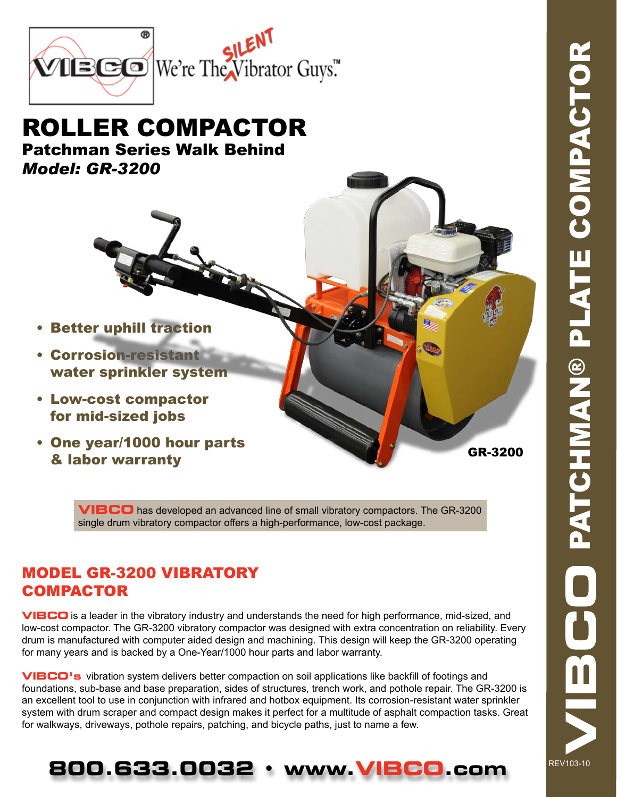

## ROLLER COMPACTOR Patchman Series Walk Behind *Model: GR-3200*

- Better uphill traction
- • Corrosion-resistant water sprinkler system
- • Low-cost compactor for mid-sized jobs
- • One year/1000 hour parts & labor warranty

GR-3200

**VIBCO** has developed an advanced line of small vibratory compactors. The GR-3200 single drum vibratory compactor offers a high-performance, low-cost package.

### MODEL GR-3200 VIBRATORY **COMPACTOR**

**VIBCO** is a leader in the vibratory industry and understands the need for high performance, mid-sized, and low-cost compactor. The GR-3200 vibratory compactor was designed with extra concentration on reliability. Every drum is manufactured with computer aided design and machining. This design will keep the GR-3200 operating for many years and is backed by a One-Year/1000 hour parts and labor warranty.

**VIBCO's** vibration system delivers better compaction on soil applications like backfill of footings and foundations, sub-base and base preparation, sides of structures, trench work, and pothole repair. The GR-3200 is an excellent tool to use in conjunction with infrared and hotbox equipment. Its corrosion-resistant water sprinkler system with drum scraper and compact design makes it perfect for a multitude of asphalt compaction tasks. Great for walkways, driveways, pothole repairs, patching, and bicycle paths, just to name a few.